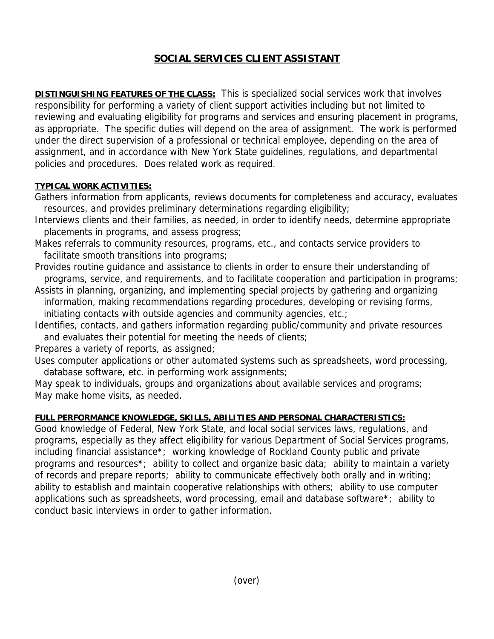## **SOCIAL SERVICES CLIENT ASSISTANT**

**DISTINGUISHING FEATURES OF THE CLASS:** This is specialized social services work that involves responsibility for performing a variety of client support activities including but not limited to reviewing and evaluating eligibility for programs and services and ensuring placement in programs, as appropriate. The specific duties will depend on the area of assignment. The work is performed under the direct supervision of a professional or technical employee, depending on the area of assignment, and in accordance with New York State guidelines, regulations, and departmental policies and procedures. Does related work as required.

## **TYPICAL WORK ACTIVITIES:**

- Gathers information from applicants, reviews documents for completeness and accuracy, evaluates resources, and provides preliminary determinations regarding eligibility;
- Interviews clients and their families, as needed, in order to identify needs, determine appropriate placements in programs, and assess progress;
- Makes referrals to community resources, programs, etc., and contacts service providers to facilitate smooth transitions into programs;
- Provides routine guidance and assistance to clients in order to ensure their understanding of programs, service, and requirements, and to facilitate cooperation and participation in programs;
- Assists in planning, organizing, and implementing special projects by gathering and organizing information, making recommendations regarding procedures, developing or revising forms, initiating contacts with outside agencies and community agencies, etc.;
- Identifies, contacts, and gathers information regarding public/community and private resources and evaluates their potential for meeting the needs of clients;

Prepares a variety of reports, as assigned;

Uses computer applications or other automated systems such as spreadsheets, word processing, database software, etc. in performing work assignments;

May speak to individuals, groups and organizations about available services and programs; May make home visits, as needed.

## **FULL PERFORMANCE KNOWLEDGE, SKILLS, ABILITIES AND PERSONAL CHARACTERISTICS:**

Good knowledge of Federal, New York State, and local social services laws, regulations, and programs, especially as they affect eligibility for various Department of Social Services programs, including financial assistance\*; working knowledge of Rockland County public and private programs and resources\*; ability to collect and organize basic data; ability to maintain a variety of records and prepare reports; ability to communicate effectively both orally and in writing; ability to establish and maintain cooperative relationships with others; ability to use computer applications such as spreadsheets, word processing, email and database software\*; ability to conduct basic interviews in order to gather information.